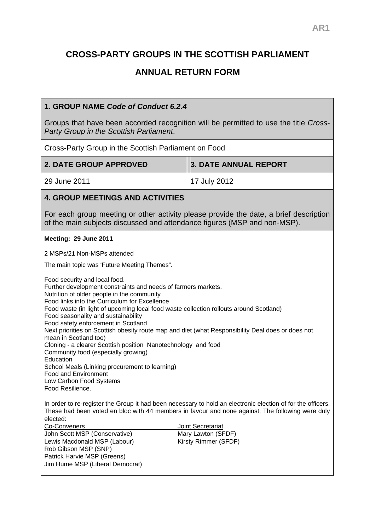# **CROSS-PARTY GROUPS IN THE SCOTTISH PARLIAMENT**

# **ANNUAL RETURN FORM**

## **1. GROUP NAME** *Code of Conduct 6.2.4*

Groups that have been accorded recognition will be permitted to use the title *Cross-Party Group in the Scottish Parliament*.

Cross-Party Group in the Scottish Parliament on Food

| <b>2. DATE GROUP APPROVED</b> | <b>3. DATE ANNUAL REPORT</b> |
|-------------------------------|------------------------------|
| 29 June 2011                  | 17 July 2012                 |

### **4. GROUP MEETINGS AND ACTIVITIES**

For each group meeting or other activity please provide the date, a brief description of the main subjects discussed and attendance figures (MSP and non-MSP).

#### **Meeting: 29 June 2011**

2 MSPs/21 Non-MSPs attended

The main topic was 'Future Meeting Themes".

Food security and local food. Further development constraints and needs of farmers markets. Nutrition of older people in the community Food links into the Curriculum for Excellence Food waste (in light of upcoming local food waste collection rollouts around Scotland) Food seasonality and sustainability Food safety enforcement in Scotland Next priorities on Scottish obesity route map and diet (what Responsibility Deal does or does not mean in Scotland too) Cloning - a clearer Scottish position Nanotechnology and food Community food (especially growing) **Education** School Meals (Linking procurement to learning) Food and Environment Low Carbon Food Systems Food Resilience.

In order to re-register the Group it had been necessary to hold an electronic election of for the officers. These had been voted en bloc with 44 members in favour and none against. The following were duly elected:

Joint Secretariat Mary Lawton (SFDF) Kirsty Rimmer (SFDF)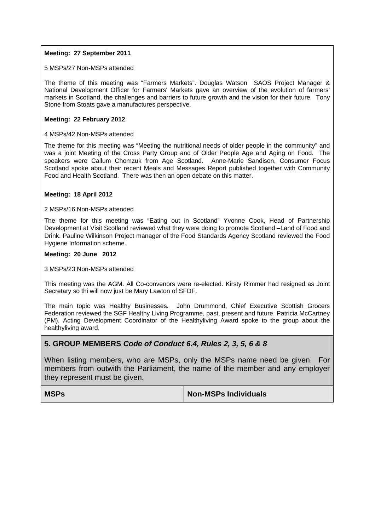#### **Meeting: 27 September 2011**

5 MSPs/27 Non-MSPs attended

The theme of this meeting was "Farmers Markets". Douglas Watson SAOS Project Manager & National Development Officer for Farmers' Markets gave an overview of the evolution of farmers' markets in Scotland, the challenges and barriers to future growth and the vision for their future. Tony Stone from Stoats gave a manufactures perspective.

#### **Meeting: 22 February 2012**

#### 4 MSPs/42 Non-MSPs attended

The theme for this meeting was "Meeting the nutritional needs of older people in the community" and was a joint Meeting of the Cross Party Group and of Older People Age and Aging on Food. The speakers were Callum Chomzuk from Age Scotland. Anne-Marie Sandison, Consumer Focus Scotland spoke about their recent Meals and Messages Report published together with Community Food and Health Scotland. There was then an open debate on this matter.

#### **Meeting: 18 April 2012**

#### 2 MSPs/16 Non-MSPs attended

The theme for this meeting was "Eating out in Scotland" Yvonne Cook, Head of Partnership Development at Visit Scotland reviewed what they were doing to promote Scotland –Land of Food and Drink. Pauline Wilkinson Project manager of the Food Standards Agency Scotland reviewed the Food Hygiene Information scheme.

#### **Meeting: 20 June 2012**

#### 3 MSPs/23 Non-MSPs attended

This meeting was the AGM. All Co-convenors were re-elected. Kirsty Rimmer had resigned as Joint Secretary so thi will now just be Mary Lawton of SFDF.

The main topic was Healthy Businesses. John Drummond, Chief Executive Scottish Grocers Federation reviewed the SGF Healthy Living Programme, past, present and future. Patricia McCartney (PM), Acting Development Coordinator of the Healthyliving Award spoke to the group about the healthyliving award.

#### **5. GROUP MEMBERS** *Code of Conduct 6.4, Rules 2, 3, 5, 6 & 8*

When listing members, who are MSPs, only the MSPs name need be given. For members from outwith the Parliament, the name of the member and any employer they represent must be given.

#### **MSPs**  $\blacksquare$  **MSPs Non-MSPs** Individuals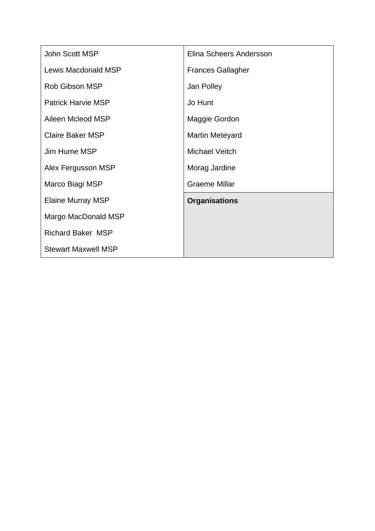| John Scott MSP             | Elina Scheers Andersson  |
|----------------------------|--------------------------|
| Lewis Macdonald MSP        | <b>Frances Gallagher</b> |
| <b>Rob Gibson MSP</b>      | Jan Polley               |
| <b>Patrick Harvie MSP</b>  | Jo Hunt                  |
| Aileen Mcleod MSP          | Maggie Gordon            |
| <b>Claire Baker MSP</b>    | <b>Martin Meteyard</b>   |
| Jim Hume MSP               | Michael Veitch           |
| Alex Fergusson MSP         | Morag Jardine            |
| Marco Biagi MSP            | <b>Graeme Millar</b>     |
| <b>Elaine Murray MSP</b>   | <b>Organisations</b>     |
| Margo MacDonald MSP        |                          |
| <b>Richard Baker MSP</b>   |                          |
| <b>Stewart Maxwell MSP</b> |                          |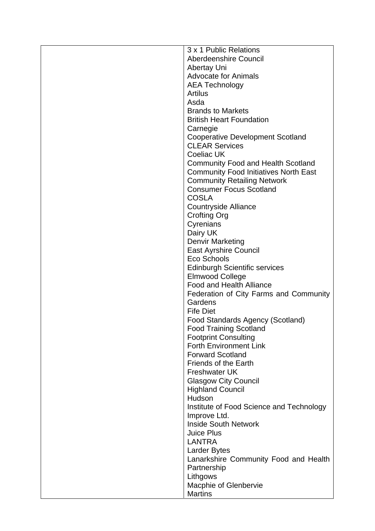| 3 x 1 Public Relations                       |
|----------------------------------------------|
| Aberdeenshire Council                        |
| <b>Abertay Uni</b>                           |
| <b>Advocate for Animals</b>                  |
| <b>AEA Technology</b>                        |
| Artilus                                      |
| Asda                                         |
| <b>Brands to Markets</b>                     |
| <b>British Heart Foundation</b>              |
| Carnegie                                     |
| <b>Cooperative Development Scotland</b>      |
| <b>CLEAR Services</b>                        |
| <b>Coeliac UK</b>                            |
| <b>Community Food and Health Scotland</b>    |
| <b>Community Food Initiatives North East</b> |
| <b>Community Retailing Network</b>           |
| <b>Consumer Focus Scotland</b>               |
| <b>COSLA</b>                                 |
| <b>Countryside Alliance</b>                  |
| <b>Crofting Org</b>                          |
| Cyrenians                                    |
| Dairy UK                                     |
| <b>Denvir Marketing</b>                      |
| <b>East Ayrshire Council</b>                 |
| Eco Schools                                  |
| <b>Edinburgh Scientific services</b>         |
| <b>Elmwood College</b>                       |
| <b>Food and Health Alliance</b>              |
| Federation of City Farms and Community       |
| Gardens                                      |
| <b>Fife Diet</b>                             |
| Food Standards Agency (Scotland)             |
| <b>Food Training Scotland</b>                |
| <b>Footprint Consulting</b>                  |
| <b>Forth Environment Link</b>                |
| <b>Forward Scotland</b>                      |
| <b>Friends of the Earth</b>                  |
| <b>Freshwater UK</b>                         |
| <b>Glasgow City Council</b>                  |
| <b>Highland Council</b>                      |
| Hudson                                       |
| Institute of Food Science and Technology     |
| Improve Ltd.                                 |
| <b>Inside South Network</b>                  |
| <b>Juice Plus</b>                            |
| <b>LANTRA</b>                                |
| <b>Larder Bytes</b>                          |
| Lanarkshire Community Food and Health        |
| Partnership                                  |
| Lithgows                                     |
| Macphie of Glenbervie                        |
| <b>Martins</b>                               |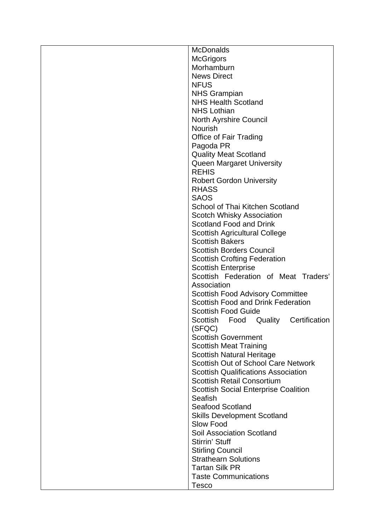| <b>McDonalds</b>                            |
|---------------------------------------------|
| <b>McGrigors</b>                            |
| Morhamburn                                  |
| <b>News Direct</b>                          |
| <b>NFUS</b>                                 |
| <b>NHS Grampian</b>                         |
| <b>NHS Health Scotland</b>                  |
| <b>NHS Lothian</b>                          |
| <b>North Ayrshire Council</b>               |
| <b>Nourish</b>                              |
|                                             |
| <b>Office of Fair Trading</b>               |
| Pagoda PR                                   |
| <b>Quality Meat Scotland</b>                |
| <b>Queen Margaret University</b>            |
| <b>REHIS</b>                                |
| <b>Robert Gordon University</b>             |
| <b>RHASS</b>                                |
| <b>SAOS</b>                                 |
| School of Thai Kitchen Scotland             |
| <b>Scotch Whisky Association</b>            |
| Scotland Food and Drink                     |
| <b>Scottish Agricultural College</b>        |
| <b>Scottish Bakers</b>                      |
| <b>Scottish Borders Council</b>             |
| <b>Scottish Crofting Federation</b>         |
| <b>Scottish Enterprise</b>                  |
| Scottish Federation of Meat Traders'        |
| Association                                 |
| <b>Scottish Food Advisory Committee</b>     |
| Scottish Food and Drink Federation          |
| <b>Scottish Food Guide</b>                  |
| Scottish Food Quality Certification         |
| (SFQC)                                      |
| <b>Scottish Government</b>                  |
| <b>Scottish Meat Training</b>               |
| <b>Scottish Natural Heritage</b>            |
| Scottish Out of School Care Network         |
|                                             |
| <b>Scottish Qualifications Association</b>  |
| <b>Scottish Retail Consortium</b>           |
| <b>Scottish Social Enterprise Coalition</b> |
| Seafish                                     |
| <b>Seafood Scotland</b>                     |
| <b>Skills Development Scotland</b>          |
| Slow Food                                   |
| <b>Soil Association Scotland</b>            |
| Stirrin' Stuff                              |
| <b>Stirling Council</b>                     |
| <b>Strathearn Solutions</b>                 |
| <b>Tartan Silk PR</b>                       |
| <b>Taste Communications</b>                 |
| <b>Tesco</b>                                |
|                                             |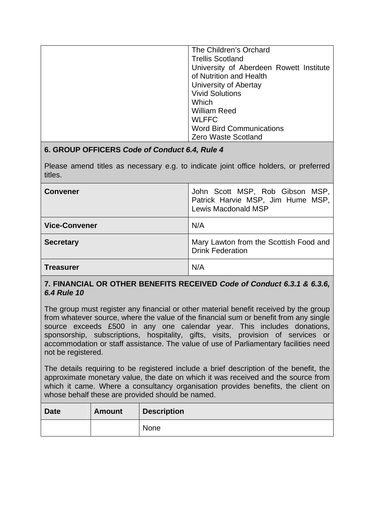| The Children's Orchard                  |
|-----------------------------------------|
| <b>Trellis Scotland</b>                 |
| University of Aberdeen Rowett Institute |
| of Nutrition and Health                 |
| University of Abertay                   |
| <b>Vivid Solutions</b>                  |
| Which                                   |
| <b>William Reed</b>                     |
| <b>WLFFC</b>                            |
| <b>Word Bird Communications</b>         |
| Zero Waste Scotland                     |

# **6. GROUP OFFICERS** *Code of Conduct 6.4, Rule 4*

Please amend titles as necessary e.g. to indicate joint office holders, or preferred titles.

| <b>Convener</b>      | John Scott MSP, Rob Gibson MSP,<br>Patrick Harvie MSP, Jim Hume MSP,<br><b>Lewis Macdonald MSP</b> |
|----------------------|----------------------------------------------------------------------------------------------------|
| <b>Vice-Convener</b> | N/A                                                                                                |
| <b>Secretary</b>     | Mary Lawton from the Scottish Food and<br><b>Drink Federation</b>                                  |
| <b>Treasurer</b>     | N/A                                                                                                |

## **7. FINANCIAL OR OTHER BENEFITS RECEIVED** *Code of Conduct 6.3.1 & 6.3.6, 6.4 Rule 10*

The group must register any financial or other material benefit received by the group from whatever source, where the value of the financial sum or benefit from any single source exceeds £500 in any one calendar year. This includes donations, sponsorship, subscriptions, hospitality, gifts, visits, provision of services or accommodation or staff assistance. The value of use of Parliamentary facilities need not be registered.

The details requiring to be registered include a brief description of the benefit, the approximate monetary value, the date on which it was received and the source from which it came. Where a consultancy organisation provides benefits, the client on whose behalf these are provided should be named.

| <b>Date</b> | <b>Amount</b> | <b>Description</b> |
|-------------|---------------|--------------------|
|             |               | None               |